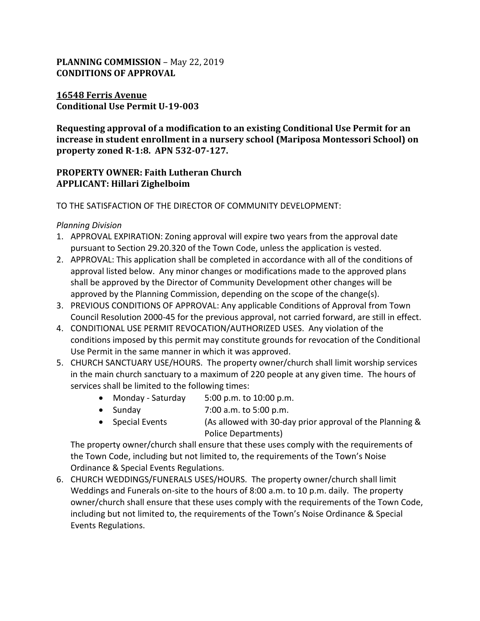## **PLANNING COMMISSION** – May 22, 2019 **CONDITIONS OF APPROVAL**

### **16548 Ferris Avenue Conditional Use Permit U-19-003**

**Requesting approval of a modification to an existing Conditional Use Permit for an increase in student enrollment in a nursery school (Mariposa Montessori School) on property zoned R-1:8. APN 532-07-127.**

## **PROPERTY OWNER: Faith Lutheran Church APPLICANT: Hillari Zighelboim**

TO THE SATISFACTION OF THE DIRECTOR OF COMMUNITY DEVELOPMENT:

### *Planning Division*

- 1. APPROVAL EXPIRATION: Zoning approval will expire two years from the approval date pursuant to Section 29.20.320 of the Town Code, unless the application is vested.
- 2. APPROVAL: This application shall be completed in accordance with all of the conditions of approval listed below. Any minor changes or modifications made to the approved plans shall be approved by the Director of Community Development other changes will be approved by the Planning Commission, depending on the scope of the change(s).
- 3. PREVIOUS CONDITIONS OF APPROVAL: Any applicable Conditions of Approval from Town Council Resolution 2000-45 for the previous approval, not carried forward, are still in effect.
- 4. CONDITIONAL USE PERMIT REVOCATION/AUTHORIZED USES. Any violation of the conditions imposed by this permit may constitute grounds for revocation of the Conditional Use Permit in the same manner in which it was approved.
- 5. CHURCH SANCTUARY USE/HOURS. The property owner/church shall limit worship services in the main church sanctuary to a maximum of 220 people at any given time. The hours of services shall be limited to the following times:
	- Monday Saturday 5:00 p.m. to 10:00 p.m.
	- Sunday 7:00 a.m. to 5:00 p.m.
	- Special Events (As allowed with 30-day prior approval of the Planning & Police Departments)

The property owner/church shall ensure that these uses comply with the requirements of the Town Code, including but not limited to, the requirements of the Town's Noise Ordinance & Special Events Regulations.

6. CHURCH WEDDINGS/FUNERALS USES/HOURS. The property owner/church shall limit Weddings and Funerals on-site to the hours of 8:00 a.m. to 10 p.m. daily. The property owner/church shall ensure that these uses comply with the requirements of the Town Code, including but not limited to, the requirements of the Town's Noise Ordinance & Special Events Regulations.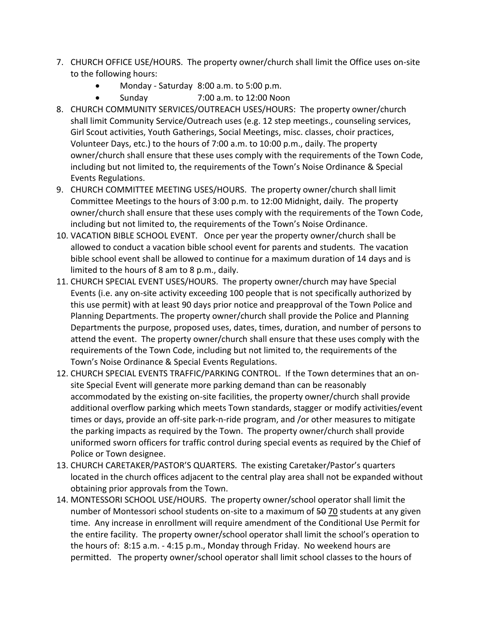- 7. CHURCH OFFICE USE/HOURS. The property owner/church shall limit the Office uses on-site to the following hours:
	- Monday Saturday 8:00 a.m. to 5:00 p.m.
	- Sunday 7:00 a.m. to 12:00 Noon
- 8. CHURCH COMMUNITY SERVICES/OUTREACH USES/HOURS: The property owner/church shall limit Community Service/Outreach uses (e.g. 12 step meetings., counseling services, Girl Scout activities, Youth Gatherings, Social Meetings, misc. classes, choir practices, Volunteer Days, etc.) to the hours of 7:00 a.m. to 10:00 p.m., daily. The property owner/church shall ensure that these uses comply with the requirements of the Town Code, including but not limited to, the requirements of the Town's Noise Ordinance & Special Events Regulations.
- 9. CHURCH COMMITTEE MEETING USES/HOURS. The property owner/church shall limit Committee Meetings to the hours of 3:00 p.m. to 12:00 Midnight, daily. The property owner/church shall ensure that these uses comply with the requirements of the Town Code, including but not limited to, the requirements of the Town's Noise Ordinance.
- 10. VACATION BIBLE SCHOOL EVENT. Once per year the property owner/church shall be allowed to conduct a vacation bible school event for parents and students. The vacation bible school event shall be allowed to continue for a maximum duration of 14 days and is limited to the hours of 8 am to 8 p.m., daily.
- 11. CHURCH SPECIAL EVENT USES/HOURS. The property owner/church may have Special Events (i.e. any on-site activity exceeding 100 people that is not specifically authorized by this use permit) with at least 90 days prior notice and preapproval of the Town Police and Planning Departments. The property owner/church shall provide the Police and Planning Departments the purpose, proposed uses, dates, times, duration, and number of persons to attend the event. The property owner/church shall ensure that these uses comply with the requirements of the Town Code, including but not limited to, the requirements of the Town's Noise Ordinance & Special Events Regulations.
- 12. CHURCH SPECIAL EVENTS TRAFFIC/PARKING CONTROL. If the Town determines that an onsite Special Event will generate more parking demand than can be reasonably accommodated by the existing on-site facilities, the property owner/church shall provide additional overflow parking which meets Town standards, stagger or modify activities/event times or days, provide an off-site park-n-ride program, and /or other measures to mitigate the parking impacts as required by the Town. The property owner/church shall provide uniformed sworn officers for traffic control during special events as required by the Chief of Police or Town designee.
- 13. CHURCH CARETAKER/PASTOR'S QUARTERS. The existing Caretaker/Pastor's quarters located in the church offices adjacent to the central play area shall not be expanded without obtaining prior approvals from the Town.
- 14. MONTESSORI SCHOOL USE/HOURS. The property owner/school operator shall limit the number of Montessori school students on-site to a maximum of 50 70 students at any given time. Any increase in enrollment will require amendment of the Conditional Use Permit for the entire facility. The property owner/school operator shall limit the school's operation to the hours of: 8:15 a.m. - 4:15 p.m., Monday through Friday. No weekend hours are permitted. The property owner/school operator shall limit school classes to the hours of